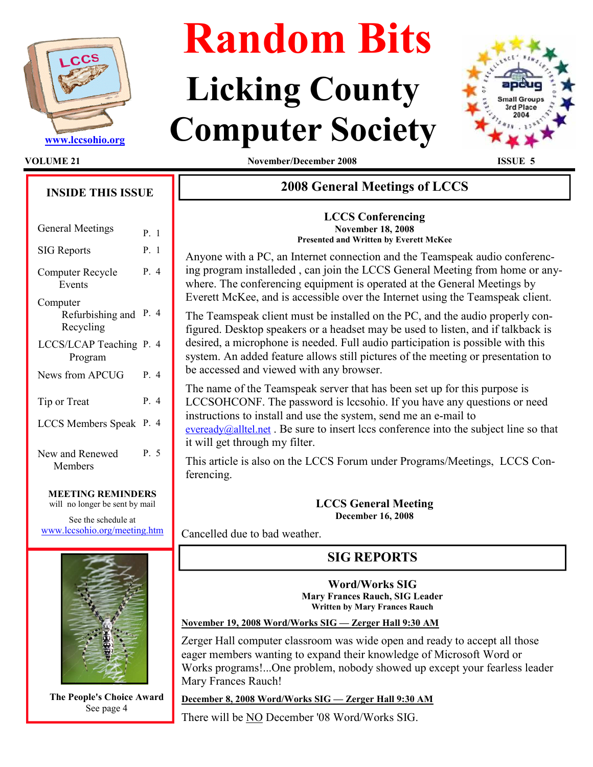

# Random Bits

## Licking County WWW.lccsohio.org Computer Society



VOLUME 21 November/December 2008 ISSUE 5

## INSIDE THIS ISSUE General Meetings  $P_{\text{R}}$  1

|                                           | 1. 1  |
|-------------------------------------------|-------|
| <b>SIG Reports</b>                        | P. 1  |
| Computer Recycle<br>Events                | P. 4  |
| Computer<br>Refurbishing and<br>Recycling | P. 4  |
| LCCS/LCAP Teaching P. 4<br>Program        |       |
| News from APCUG                           | $P_4$ |
| Tip or Treat                              | P. 4  |
| <b>LCCS</b> Members Speak                 | P. 4  |
| New and Renewed<br>Members                | P. 5  |

#### MEETING REMINDERS

will no longer be sent by mail

See the schedule at www.lccsohio.org/meeting.htm



The People's Choice Award See page 4

## 2008 General Meetings of LCCS

LCCS Conferencing November 18, 2008 Presented and Written by Everett McKee

Anyone with a PC, an Internet connection and the Teamspeak audio conferencing program installeded , can join the LCCS General Meeting from home or anywhere. The conferencing equipment is operated at the General Meetings by Everett McKee, and is accessible over the Internet using the Teamspeak client.

The Teamspeak client must be installed on the PC, and the audio properly configured. Desktop speakers or a headset may be used to listen, and if talkback is desired, a microphone is needed. Full audio participation is possible with this system. An added feature allows still pictures of the meeting or presentation to be accessed and viewed with any browser.

The name of the Teamspeak server that has been set up for this purpose is LCCSOHCONF. The password is lccsohio. If you have any questions or need instructions to install and use the system, send me an e-mail to eveready@alltel.net. Be sure to insert lccs conference into the subject line so that it will get through my filter.

This article is also on the LCCS Forum under Programs/Meetings, LCCS Conferencing.

> LCCS General Meeting December 16, 2008

Cancelled due to bad weather.

## SIG REPORTS

Word/Works SIG Mary Frances Rauch, SIG Leader Written by Mary Frances Rauch

November 19, 2008 Word/Works SIG — Zerger Hall 9:30 AM

Zerger Hall computer classroom was wide open and ready to accept all those eager members wanting to expand their knowledge of Microsoft Word or Works programs!...One problem, nobody showed up except your fearless leader Mary Frances Rauch!

December 8, 2008 Word/Works SIG — Zerger Hall 9:30 AM

There will be NO December '08 Word/Works SIG.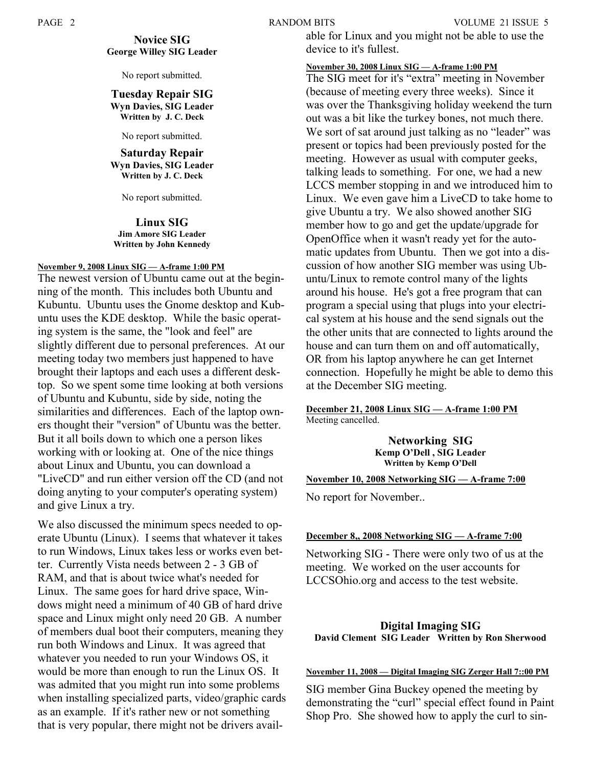#### Novice SIG George Willey SIG Leader

No report submitted.

#### Tuesday Repair SIG Wyn Davies, SIG Leader Written by J. C. Deck

No report submitted.

Saturday Repair Wyn Davies, SIG Leader Written by J. C. Deck

No report submitted.

Linux SIG Jim Amore SIG Leader Written by John Kennedy

#### November 9, 2008 Linux SIG — A-frame 1:00 PM

The newest version of Ubuntu came out at the beginning of the month. This includes both Ubuntu and Kubuntu. Ubuntu uses the Gnome desktop and Kubuntu uses the KDE desktop. While the basic operating system is the same, the "look and feel" are slightly different due to personal preferences. At our meeting today two members just happened to have brought their laptops and each uses a different desktop. So we spent some time looking at both versions of Ubuntu and Kubuntu, side by side, noting the similarities and differences. Each of the laptop owners thought their "version" of Ubuntu was the better. But it all boils down to which one a person likes working with or looking at. One of the nice things about Linux and Ubuntu, you can download a "LiveCD" and run either version off the CD (and not doing anyting to your computer's operating system) and give Linux a try.

We also discussed the minimum specs needed to operate Ubuntu (Linux). I seems that whatever it takes to run Windows, Linux takes less or works even better. Currently Vista needs between 2 - 3 GB of RAM, and that is about twice what's needed for Linux. The same goes for hard drive space, Windows might need a minimum of 40 GB of hard drive space and Linux might only need 20 GB. A number of members dual boot their computers, meaning they run both Windows and Linux. It was agreed that whatever you needed to run your Windows OS, it would be more than enough to run the Linux OS. It was admited that you might run into some problems when installing specialized parts, video/graphic cards as an example. If it's rather new or not something that is very popular, there might not be drivers available for Linux and you might not be able to use the device to it's fullest.

#### November 30, 2008 Linux SIG — A-frame 1:00 PM

The SIG meet for it's "extra" meeting in November (because of meeting every three weeks). Since it was over the Thanksgiving holiday weekend the turn out was a bit like the turkey bones, not much there. We sort of sat around just talking as no "leader" was present or topics had been previously posted for the meeting. However as usual with computer geeks, talking leads to something. For one, we had a new LCCS member stopping in and we introduced him to Linux. We even gave him a LiveCD to take home to give Ubuntu a try. We also showed another SIG member how to go and get the update/upgrade for OpenOffice when it wasn't ready yet for the automatic updates from Ubuntu. Then we got into a discussion of how another SIG member was using Ubuntu/Linux to remote control many of the lights around his house. He's got a free program that can program a special using that plugs into your electrical system at his house and the send signals out the the other units that are connected to lights around the house and can turn them on and off automatically, OR from his laptop anywhere he can get Internet connection. Hopefully he might be able to demo this at the December SIG meeting.

#### December 21, 2008 Linux SIG — A-frame 1:00 PM Meeting cancelled.

Networking SIG Kemp O'Dell , SIG Leader Written by Kemp O'Dell

#### November 10, 2008 Networking SIG — A-frame 7:00

No report for November..

#### December 8,, 2008 Networking SIG — A-frame 7:00

Networking SIG - There were only two of us at the meeting. We worked on the user accounts for LCCSOhio.org and access to the test website.

#### Digital Imaging SIG David Clement SIG Leader Written by Ron Sherwood

#### November 11, 2008 — Digital Imaging SIG Zerger Hall 7::00 PM

SIG member Gina Buckey opened the meeting by demonstrating the "curl" special effect found in Paint Shop Pro. She showed how to apply the curl to sin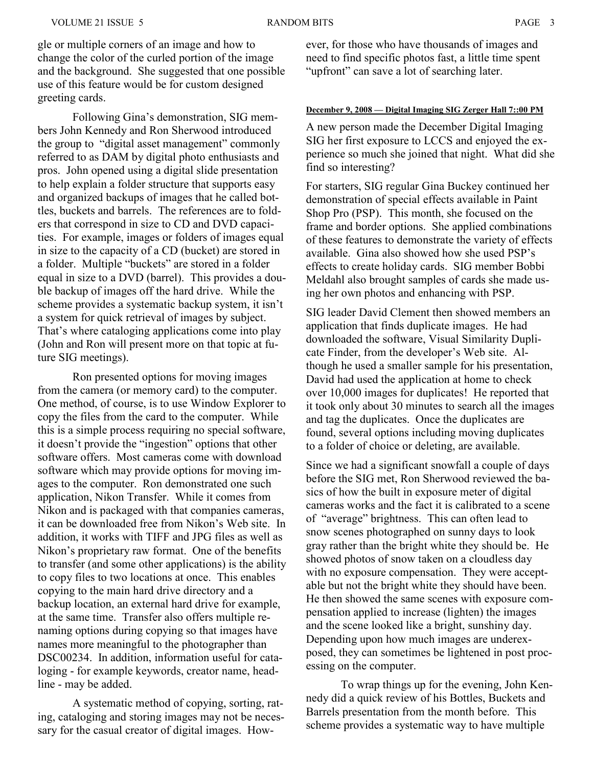gle or multiple corners of an image and how to change the color of the curled portion of the image and the background. She suggested that one possible use of this feature would be for custom designed greeting cards.

 Following Gina's demonstration, SIG members John Kennedy and Ron Sherwood introduced the group to "digital asset management" commonly referred to as DAM by digital photo enthusiasts and pros. John opened using a digital slide presentation to help explain a folder structure that supports easy and organized backups of images that he called bottles, buckets and barrels. The references are to folders that correspond in size to CD and DVD capacities. For example, images or folders of images equal in size to the capacity of a CD (bucket) are stored in a folder. Multiple "buckets" are stored in a folder equal in size to a DVD (barrel). This provides a double backup of images off the hard drive. While the scheme provides a systematic backup system, it isn't a system for quick retrieval of images by subject. That's where cataloging applications come into play (John and Ron will present more on that topic at future SIG meetings).

 Ron presented options for moving images from the camera (or memory card) to the computer. One method, of course, is to use Window Explorer to copy the files from the card to the computer. While this is a simple process requiring no special software, it doesn't provide the "ingestion" options that other software offers. Most cameras come with download software which may provide options for moving images to the computer. Ron demonstrated one such application, Nikon Transfer. While it comes from Nikon and is packaged with that companies cameras, it can be downloaded free from Nikon's Web site. In addition, it works with TIFF and JPG files as well as Nikon's proprietary raw format. One of the benefits to transfer (and some other applications) is the ability to copy files to two locations at once. This enables copying to the main hard drive directory and a backup location, an external hard drive for example, at the same time. Transfer also offers multiple renaming options during copying so that images have names more meaningful to the photographer than DSC00234. In addition, information useful for cataloging - for example keywords, creator name, headline - may be added.

 A systematic method of copying, sorting, rating, cataloging and storing images may not be necessary for the casual creator of digital images. However, for those who have thousands of images and need to find specific photos fast, a little time spent "upfront" can save a lot of searching later.

#### December 9, 2008 — Digital Imaging SIG Zerger Hall 7::00 PM

A new person made the December Digital Imaging SIG her first exposure to LCCS and enjoyed the experience so much she joined that night. What did she find so interesting?

For starters, SIG regular Gina Buckey continued her demonstration of special effects available in Paint Shop Pro (PSP). This month, she focused on the frame and border options. She applied combinations of these features to demonstrate the variety of effects available. Gina also showed how she used PSP's effects to create holiday cards. SIG member Bobbi Meldahl also brought samples of cards she made using her own photos and enhancing with PSP.

SIG leader David Clement then showed members an application that finds duplicate images. He had downloaded the software, Visual Similarity Duplicate Finder, from the developer's Web site. Although he used a smaller sample for his presentation, David had used the application at home to check over 10,000 images for duplicates! He reported that it took only about 30 minutes to search all the images and tag the duplicates. Once the duplicates are found, several options including moving duplicates to a folder of choice or deleting, are available.

Since we had a significant snowfall a couple of days before the SIG met, Ron Sherwood reviewed the basics of how the built in exposure meter of digital cameras works and the fact it is calibrated to a scene of "average" brightness. This can often lead to snow scenes photographed on sunny days to look gray rather than the bright white they should be. He showed photos of snow taken on a cloudless day with no exposure compensation. They were acceptable but not the bright white they should have been. He then showed the same scenes with exposure compensation applied to increase (lighten) the images and the scene looked like a bright, sunshiny day. Depending upon how much images are underexposed, they can sometimes be lightened in post processing on the computer.

 To wrap things up for the evening, John Kennedy did a quick review of his Bottles, Buckets and Barrels presentation from the month before. This scheme provides a systematic way to have multiple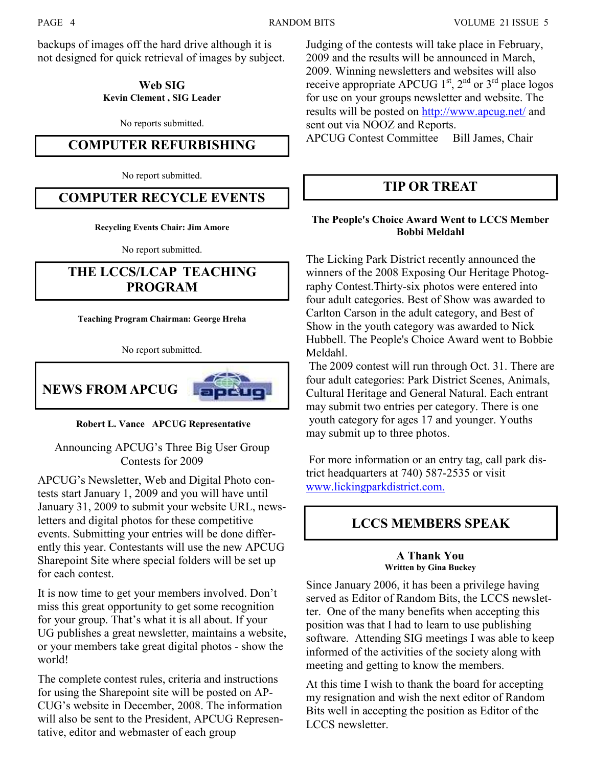backups of images off the hard drive although it is not designed for quick retrieval of images by subject.

#### Web SIG Kevin Clement , SIG Leader

No reports submitted.

### COMPUTER REFURBISHING

No report submitted.

## COMPUTER RECYCLE EVENTS

Recycling Events Chair: Jim Amore

No report submitted.

## THE LCCS/LCAP TEACHING PROGRAM

Teaching Program Chairman: George Hreha

No report submitted.



Robert L. Vance APCUG Representative

Announcing APCUG's Three Big User Group Contests for 2009

APCUG's Newsletter, Web and Digital Photo contests start January 1, 2009 and you will have until January 31, 2009 to submit your website URL, newsletters and digital photos for these competitive events. Submitting your entries will be done differently this year. Contestants will use the new APCUG Sharepoint Site where special folders will be set up for each contest.

It is now time to get your members involved. Don't miss this great opportunity to get some recognition for your group. That's what it is all about. If your UG publishes a great newsletter, maintains a website, or your members take great digital photos - show the world!

The complete contest rules, criteria and instructions for using the Sharepoint site will be posted on AP-CUG's website in December, 2008. The information will also be sent to the President, APCUG Representative, editor and webmaster of each group

Judging of the contests will take place in February, 2009 and the results will be announced in March, 2009. Winning newsletters and websites will also receive appropriate APCUG  $1<sup>st</sup>$ ,  $2<sup>nd</sup>$  or  $3<sup>rd</sup>$  place logos for use on your groups newsletter and website. The results will be posted on http://www.apcug.net/ and sent out via NOOZ and Reports. APCUG Contest Committee Bill James, Chair

## TIP OR TREAT

#### The People's Choice Award Went to LCCS Member Bobbi Meldahl

The Licking Park District recently announced the winners of the 2008 Exposing Our Heritage Photography Contest.Thirty-six photos were entered into four adult categories. Best of Show was awarded to Carlton Carson in the adult category, and Best of Show in the youth category was awarded to Nick Hubbell. The People's Choice Award went to Bobbie Meldahl.

 The 2009 contest will run through Oct. 31. There are four adult categories: Park District Scenes, Animals, Cultural Heritage and General Natural. Each entrant may submit two entries per category. There is one youth category for ages 17 and younger. Youths may submit up to three photos.

 For more information or an entry tag, call park district headquarters at 740) 587-2535 or visit www.lickingparkdistrict.com.

## LCCS MEMBERS SPEAK

#### A Thank You Written by Gina Buckey

Since January 2006, it has been a privilege having served as Editor of Random Bits, the LCCS newsletter. One of the many benefits when accepting this position was that I had to learn to use publishing software. Attending SIG meetings I was able to keep informed of the activities of the society along with meeting and getting to know the members.

At this time I wish to thank the board for accepting my resignation and wish the next editor of Random Bits well in accepting the position as Editor of the LCCS newsletter.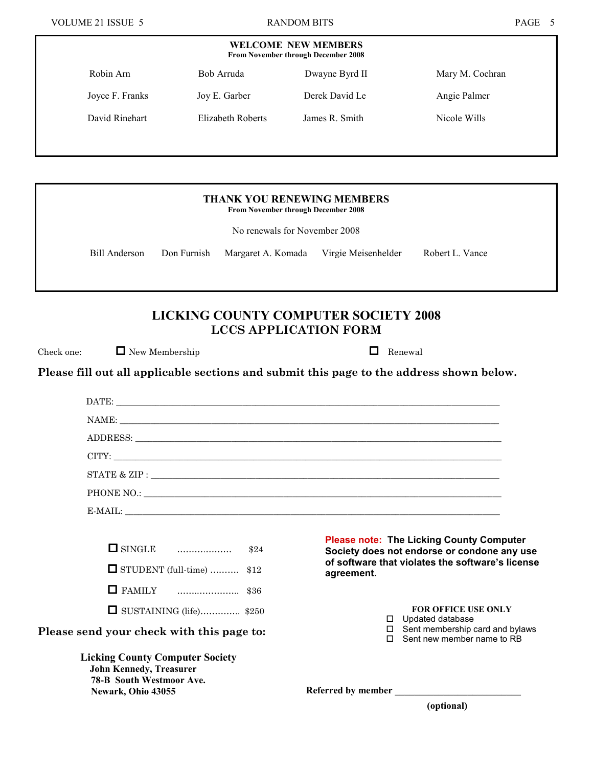| <b>WELCOME NEW MEMBERS</b><br>From November through December 2008 |                   |                |                 |
|-------------------------------------------------------------------|-------------------|----------------|-----------------|
| Robin Arn                                                         | Bob Arruda        | Dwayne Byrd II | Mary M. Cochran |
| Joyce F. Franks                                                   | Joy E. Garber     | Derek David Le | Angie Palmer    |
| David Rinehart                                                    | Elizabeth Roberts | James R. Smith | Nicole Wills    |
|                                                                   |                   |                |                 |

| <b>THANK YOU RENEWING MEMBERS</b><br>From November through December 2008 |               |             |                                        |                 |
|--------------------------------------------------------------------------|---------------|-------------|----------------------------------------|-----------------|
| No renewals for November 2008                                            |               |             |                                        |                 |
|                                                                          | Bill Anderson | Don Furnish | Margaret A. Komada Virgie Meisenhelder | Robert L. Vance |
|                                                                          |               |             |                                        |                 |

## LICKING COUNTY COMPUTER SOCIETY 2008 LCCS APPLICATION FORM

Check one:  $\Box$  New Membership  $\Box$  Renewal

Please fill out all applicable sections and submit this page to the address shown below.

| DATE:                                                                                                                             |                                                                                                                                                                  |
|-----------------------------------------------------------------------------------------------------------------------------------|------------------------------------------------------------------------------------------------------------------------------------------------------------------|
|                                                                                                                                   |                                                                                                                                                                  |
|                                                                                                                                   |                                                                                                                                                                  |
|                                                                                                                                   |                                                                                                                                                                  |
|                                                                                                                                   | STATE & ZIP : $\sqrt{ }$                                                                                                                                         |
|                                                                                                                                   |                                                                                                                                                                  |
|                                                                                                                                   | E-MAIL:                                                                                                                                                          |
| $\Box$ SINGLE $\Box$ $\Box$ \$24<br>$\Box$ STUDENT (full-time)  \$12                                                              | <b>Please note: The Licking County Computer</b><br>Society does not endorse or condone any use<br>of software that violates the software's license<br>agreement. |
|                                                                                                                                   |                                                                                                                                                                  |
| $\Box$ SUSTAINING (life) \$250<br>Please send your check with this page to:                                                       | <b>FOR OFFICE USE ONLY</b><br>$\Box$ Updated database<br>$\square$ Sent membership card and bylaws<br>$\square$ Sent new member name to RB                       |
| <b>Licking County Computer Society</b><br><b>John Kennedy, Treasurer</b><br><b>78-B</b> South Westmoor Ave.<br>Newark, Ohio 43055 | Referred by member                                                                                                                                               |
|                                                                                                                                   | (optional)                                                                                                                                                       |
|                                                                                                                                   |                                                                                                                                                                  |